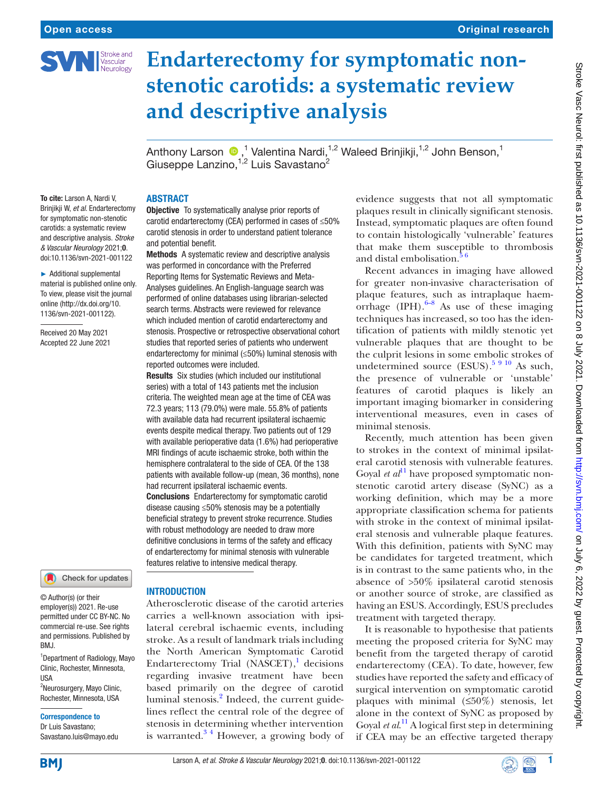

# **Endarterectomy for symptomatic nonstenotic carotids: a systematic review and descriptive analysis**

AnthonyLarson <sup>®</sup>,<sup>1</sup> Valentina Nardi,<sup>1,2</sup> Waleed Brinjikji,<sup>1,2</sup> John Benson,<sup>1</sup> Giuseppe Lanzino, <sup>1,2</sup> Luis Savastano<sup>2</sup>

To cite: Larson A, Nardi V, Brinjikji W, *et al*. Endarterectomy for symptomatic non-stenotic carotids: a systematic review and descriptive analysis. *Stroke & Vascular Neurology* 2021;0. doi:10.1136/svn-2021-001122

ABSTRACT

and potential benefit.

reported outcomes were included.

had recurrent ipsilateral ischaemic events.

features relative to intensive medical therapy.

Conclusions Endarterectomy for symptomatic carotid disease causing ≤50% stenosis may be a potentially beneficial strategy to prevent stroke recurrence. Studies with robust methodology are needed to draw more definitive conclusions in terms of the safety and efficacy of endarterectomy for minimal stenosis with vulnerable

**Objective** To systematically analyse prior reports of carotid endarterectomy (CEA) performed in cases of ≤50% carotid stenosis in order to understand patient tolerance

Methods A systematic review and descriptive analysis was performed in concordance with the Preferred Reporting Items for Systematic Reviews and Meta-Analyses guidelines. An English-language search was performed of online databases using librarian-selected search terms. Abstracts were reviewed for relevance which included mention of carotid endarterectomy and stenosis. Prospective or retrospective observational cohort studies that reported series of patients who underwent endarterectomy for minimal (≤50%) luminal stenosis with

Results Six studies (which included our institutional series) with a total of 143 patients met the inclusion criteria. The weighted mean age at the time of CEA was 72.3 years; 113 (79.0%) were male. 55.8% of patients with available data had recurrent ipsilateral ischaemic events despite medical therapy. Two patients out of 129 with available perioperative data (1.6%) had perioperative MRI findings of acute ischaemic stroke, both within the hemisphere contralateral to the side of CEA. Of the 138 patients with available follow-up (mean, 36 months), none

► Additional supplemental material is published online only. To view, please visit the journal online [\(http://dx.doi.org/10.](http://dx.doi.org/10.1136/svn-2021-001122) [1136/svn-2021-001122](http://dx.doi.org/10.1136/svn-2021-001122)).

Received 20 May 2021 Accepted 22 June 2021

# Check for updates

© Author(s) (or their employer(s)) 2021. Re-use permitted under CC BY-NC. No commercial re-use. See rights and permissions. Published by BMJ.

<sup>1</sup> Department of Radiology, Mayo Clinic, Rochester, Minnesota, USA <sup>2</sup>Neurosurgery, Mayo Clinic,

Rochester, Minnesota, USA

#### Correspondence to

Dr Luis Savastano; Savastano.luis@mayo.edu

#### INTRODUCTION

Atherosclerotic disease of the carotid arteries carries a well-known association with ipsilateral cerebral ischaemic events, including stroke. As a result of landmark trials including the North American Symptomatic Carotid Endarterectomy Trial  $(NASCET)$ , decisions regarding invasive treatment have been based primarily on the degree of carotid luminal stenosis.<sup>[2](#page-5-1)</sup> Indeed, the current guidelines reflect the central role of the degree of stenosis in determining whether intervention is warranted. $3<sup>4</sup>$  However, a growing body of

evidence suggests that not all symptomatic plaques result in clinically significant stenosis. Instead, symptomatic plaques are often found to contain histologically 'vulnerable' features that make them susceptible to thrombosis and distal embolisation. $56$ 

Recent advances in imaging have allowed for greater non-invasive characterisation of plaque features, such as intraplaque haemorrhage (IPH). $6-8$  As use of these imaging techniques has increased, so too has the identification of patients with mildly stenotic yet vulnerable plaques that are thought to be the culprit lesions in some embolic strokes of undetermined source  $(ESUS).$ <sup>5 9 10</sup> As such, the presence of vulnerable or 'unstable' features of carotid plaques is likely an important imaging biomarker in considering interventional measures, even in cases of minimal stenosis.

Recently, much attention has been given to strokes in the context of minimal ipsilateral carotid stenosis with vulnerable features. Goyal *et al*<sup>11</sup> have proposed symptomatic nonstenotic carotid artery disease (SyNC) as a working definition, which may be a more appropriate classification schema for patients with stroke in the context of minimal ipsilateral stenosis and vulnerable plaque features. With this definition, patients with SyNC may be candidates for targeted treatment, which is in contrast to the same patients who, in the absence of >50% ipsilateral carotid stenosis or another source of stroke, are classified as having an ESUS. Accordingly, ESUS precludes treatment with targeted therapy.

It is reasonable to hypothesise that patients meeting the proposed criteria for SyNC may benefit from the targeted therapy of carotid endarterectomy (CEA). To date, however, few studies have reported the safety and efficacy of surgical intervention on symptomatic carotid plaques with minimal (≤50%) stenosis, let alone in the context of SyNC as proposed by Goyal *et al*. [11](#page-5-5) A logical first step in determining if CEA may be an effective targeted therapy



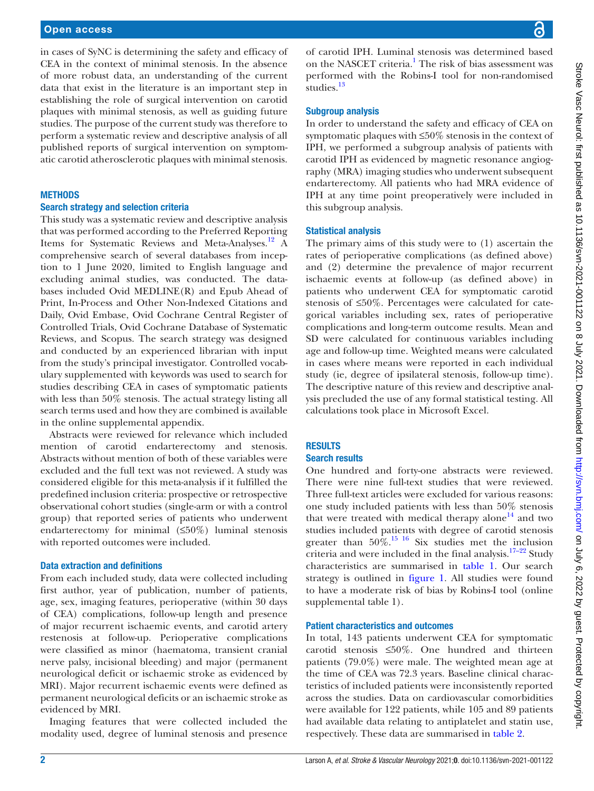in cases of SyNC is determining the safety and efficacy of CEA in the context of minimal stenosis. In the absence of more robust data, an understanding of the current data that exist in the literature is an important step in establishing the role of surgical intervention on carotid plaques with minimal stenosis, as well as guiding future studies. The purpose of the current study was therefore to perform a systematic review and descriptive analysis of all published reports of surgical intervention on symptomatic carotid atherosclerotic plaques with minimal stenosis.

## **METHODS**

#### Search strategy and selection criteria

This study was a systematic review and descriptive analysis that was performed according to the Preferred Reporting Items for Systematic Reviews and Meta-Analyses.<sup>12</sup> A comprehensive search of several databases from inception to 1 June 2020, limited to English language and excluding animal studies, was conducted. The databases included Ovid MEDLINE(R) and Epub Ahead of Print, In-Process and Other Non-Indexed Citations and Daily, Ovid Embase, Ovid Cochrane Central Register of Controlled Trials, Ovid Cochrane Database of Systematic Reviews, and Scopus. The search strategy was designed and conducted by an experienced librarian with input from the study's principal investigator. Controlled vocabulary supplemented with keywords was used to search for studies describing CEA in cases of symptomatic patients with less than 50% stenosis. The actual strategy listing all search terms used and how they are combined is available in the [online supplemental appendix](https://dx.doi.org/10.1136/svn-2021-001122).

Abstracts were reviewed for relevance which included mention of carotid endarterectomy and stenosis. Abstracts without mention of both of these variables were excluded and the full text was not reviewed. A study was considered eligible for this meta-analysis if it fulfilled the predefined inclusion criteria: prospective or retrospective observational cohort studies (single-arm or with a control group) that reported series of patients who underwent endarterectomy for minimal (≤50%) luminal stenosis with reported outcomes were included.

# Data extraction and definitions

From each included study, data were collected including first author, year of publication, number of patients, age, sex, imaging features, perioperative (within 30 days of CEA) complications, follow-up length and presence of major recurrent ischaemic events, and carotid artery restenosis at follow-up. Perioperative complications were classified as minor (haematoma, transient cranial nerve palsy, incisional bleeding) and major (permanent neurological deficit or ischaemic stroke as evidenced by MRI). Major recurrent ischaemic events were defined as permanent neurological deficits or an ischaemic stroke as evidenced by MRI.

Imaging features that were collected included the modality used, degree of luminal stenosis and presence

of carotid IPH. Luminal stenosis was determined based on the NASCET criteria.<sup>[1](#page-5-0)</sup> The risk of bias assessment was performed with the Robins-I tool for non-randomised studies.<sup>13</sup>

# Subgroup analysis

In order to understand the safety and efficacy of CEA on symptomatic plaques with ≤50% stenosis in the context of IPH, we performed a subgroup analysis of patients with carotid IPH as evidenced by magnetic resonance angiography (MRA) imaging studies who underwent subsequent endarterectomy. All patients who had MRA evidence of IPH at any time point preoperatively were included in this subgroup analysis.

# Statistical analysis

The primary aims of this study were to (1) ascertain the rates of perioperative complications (as defined above) and (2) determine the prevalence of major recurrent ischaemic events at follow-up (as defined above) in patients who underwent CEA for symptomatic carotid stenosis of ≤50%. Percentages were calculated for categorical variables including sex, rates of perioperative complications and long-term outcome results. Mean and SD were calculated for continuous variables including age and follow-up time. Weighted means were calculated in cases where means were reported in each individual study (ie, degree of ipsilateral stenosis, follow-up time). The descriptive nature of this review and descriptive analysis precluded the use of any formal statistical testing. All calculations took place in Microsoft Excel.

# **RESULTS**

# Search results

One hundred and forty-one abstracts were reviewed. There were nine full-text studies that were reviewed. Three full-text articles were excluded for various reasons: one study included patients with less than 50% stenosis that were treated with medical therapy alone<sup>14</sup> and two studies included patients with degree of carotid stenosis greater than  $50\%$ .<sup>[15 16](#page-5-9)</sup> Six studies met the inclusion criteria and were included in the final analysis.<sup>17–22</sup> Study characteristics are summarised in [table](#page-2-0) 1. Our search strategy is outlined in [figure](#page-2-1) 1. All studies were found to have a moderate risk of bias by Robins-I tool ([online](https://dx.doi.org/10.1136/svn-2021-001122)  [supplemental table 1\)](https://dx.doi.org/10.1136/svn-2021-001122).

#### Patient characteristics and outcomes

In total, 143 patients underwent CEA for symptomatic carotid stenosis ≤50%. One hundred and thirteen patients (79.0%) were male. The weighted mean age at the time of CEA was 72.3 years. Baseline clinical characteristics of included patients were inconsistently reported across the studies. Data on cardiovascular comorbidities were available for 122 patients, while 105 and 89 patients had available data relating to antiplatelet and statin use, respectively. These data are summarised in [table](#page-2-2) 2.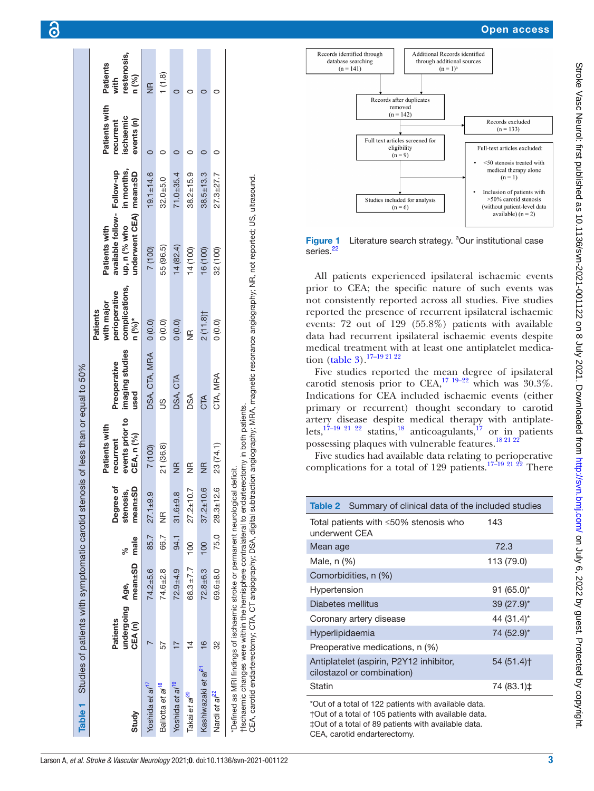| Table 1 Studies of patients with symptomatic carotid stenosis of less than or equal to 50%                                                                                |                             |                |      |                        |                                               |                                 |                                                           |                                                              |                 |                                         |                                 |
|---------------------------------------------------------------------------------------------------------------------------------------------------------------------------|-----------------------------|----------------|------|------------------------|-----------------------------------------------|---------------------------------|-----------------------------------------------------------|--------------------------------------------------------------|-----------------|-----------------------------------------|---------------------------------|
|                                                                                                                                                                           | undergoing Age,<br>Patients |                | ℅    | Degree of<br>stenosis, | events prior to<br>Patients with<br>recurrent | imaging studies<br>Preoperative | complications,<br>perioperative<br>with major<br>Patients | available follow- Follow-up<br>up, n (% who<br>Patients with | in months,      | Patients with<br>ischaemic<br>recurrent | restenosis,<br>Patients<br>with |
| Study                                                                                                                                                                     | CEA <sub>(n)</sub>          | mean±SD male   |      | mean±SD                | <b>CEA, n (%)</b>                             | used                            | n (%)*                                                    | inderwent CEA) mean±SD                                       |                 | events (n)                              | n (%)                           |
| Yoshida et al <sup>17</sup>                                                                                                                                               |                             | $74.2 + 5.6$   | 85.7 | $27.1 + 9.9$           | 7 (100)                                       | DSA, CTA, MRA                   | 0(0.0)                                                    | 7 (100)                                                      | $19.1 \pm 14.6$ |                                         | $rac{R}{Z}$                     |
| Ballotta et al <sup>18</sup>                                                                                                                                              | 57                          | 74.6±2.8       | 66.7 | $\widetilde{\Xi}$      | 21 (36.8)                                     | S                               | (0.0)                                                     | 55 (96.5)                                                    | $32.0 + 5.0$    |                                         | 1(1.8)                          |
| Yoshida et al <sup>19</sup>                                                                                                                                               |                             | $72.9 + 4.9$   | 94.1 | $31.6 + 9.8$           | $\frac{1}{2}$                                 | DSA, CTA                        | (0.0)                                                     | 14(82.4)                                                     | $71.0 + 35.4$   |                                         |                                 |
| Takai et al <sup>20</sup>                                                                                                                                                 | 4                           | $68.3 \pm 7.7$ | 100  | $27.2 \pm 10.7$        | $\frac{\alpha}{2}$                            | DSA                             | $\widetilde{\Xi}$                                         | 14 (100)                                                     | $38.2 \pm 15.9$ |                                         |                                 |
| Kashiwazaki et a/ <sup>21</sup>                                                                                                                                           | $\frac{6}{1}$               | $72.8 + 6.3$   | 100  | $37.2 \pm 10.6$        | $\frac{1}{2}$                                 | CTA                             | 2(11.8)                                                   | 16 (100)                                                     | $38.5 \pm 13.3$ |                                         |                                 |
| Nardi et a <sup>/22</sup>                                                                                                                                                 | 32                          | 69.6±8.0       |      | 75.0 28.3±12.6         | 23 (74.1)                                     | CTA, MRA                        | (0.0)                                                     | 32 (100)                                                     | $27.3 + 27.7$   |                                         |                                 |
| tischaemic changes were within the hemisphere contralateral to endarterectomy in both patients.<br>*Defined as MRI findings of ischaemic stroke or permanent neurological |                             |                |      |                        | deficit.                                      |                                 |                                                           |                                                              |                 |                                         |                                 |

CEA, carotid endarterectomy; CTA, CT angiography; DSA, digital subtraction angiography; MRA, magnetic resonance angiography; NR, not reported; US, ultrasound.

CEA, carotid endarterectomy; CTA, CT angiography; DSA, digital subtraction angiography; MRA, magnetic resonance angiography; NR, not reported; US, ultrasound.



<span id="page-2-1"></span>Figure 1 Literature search strategy. <sup>a</sup>Our institutional case series.<sup>[22](#page-5-15)</sup>

All patients experienced ipsilateral ischaemic events prior to CEA; the specific nature of such events was not consistently reported across all studies. Five studies reported the presence of recurrent ipsilateral ischaemic events: 72 out of 129 (55.8%) patients with available data had recurrent ipsilateral ischaemic events despite medical treatment with at least one antiplatelet medica-tion [\(table](#page-3-0) 3).<sup>17-19 21 22</sup>

Five studies reported the mean degree of ipsilateral carotid stenosis prior to CEA,<sup>17 19–22</sup> which was 30.3%. Indications for CEA included ischaemic events (either primary or recurrent) thought secondary to carotid artery disease despite medical therapy with antiplate lets,<sup>17–19 21 22</sup> statins,<sup>18</sup> anticoagulants,<sup>17</sup> or in patients possessing plaques with vulnerable features[.18 21 22](#page-5-11)

Five studies had available data relating to perioperative complications for a total of 129 patients.<sup>17-19 21 22</sup> There

<span id="page-2-2"></span>

| Table 2 Summary of clinical data of the included studies              |               |
|-----------------------------------------------------------------------|---------------|
| Total patients with $\leq 50\%$ stenosis who<br>underwent CFA         | 143           |
| Mean age                                                              | 72.3          |
| Male, n (%)                                                           | 113 (79.0)    |
| Comorbidities, n (%)                                                  |               |
| Hypertension                                                          | $91 (65.0)^*$ |
| Diabetes mellitus                                                     | 39 (27.9)*    |
| Coronary artery disease                                               | 44 (31.4)*    |
| Hyperlipidaemia                                                       | 74 (52.9)*    |
| Preoperative medications, n (%)                                       |               |
| Antiplatelet (aspirin, P2Y12 inhibitor,<br>cilostazol or combination) | 54(51.4)      |
| Statin                                                                | 74 (83.1)‡    |

<span id="page-2-0"></span>\*Out of a total of 122 patients with available data. †Out of a total of 105 patients with available data. ‡Out of a total of 89 patients with available data. CEA, carotid endarterectomy.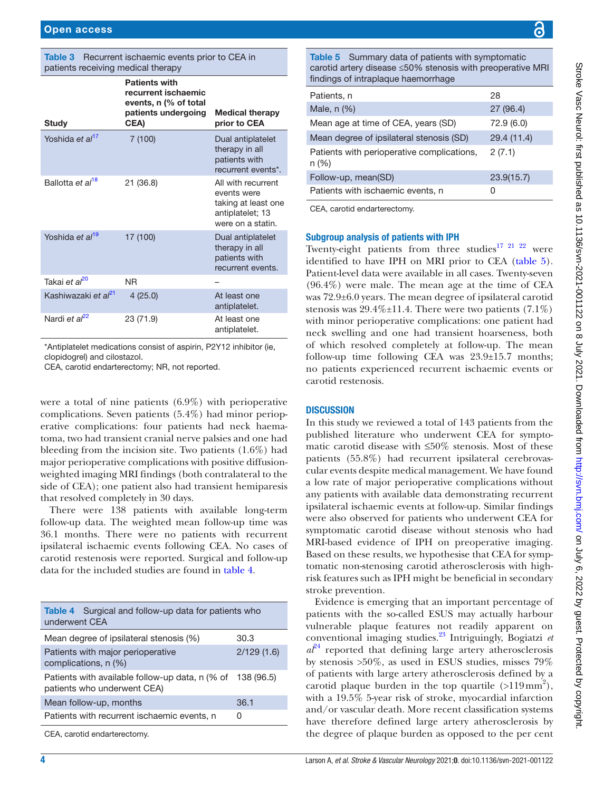<span id="page-3-0"></span>

| <b>Table 3</b> Recurrent ischaemic events prior to CEA in |
|-----------------------------------------------------------|
| patients receiving medical therapy                        |

| Study                            | <b>Patients with</b><br>recurrent ischaemic<br>events, n (% of total<br>patients undergoing<br>CEA) | <b>Medical therapy</b><br>prior to CEA                                                            |
|----------------------------------|-----------------------------------------------------------------------------------------------------|---------------------------------------------------------------------------------------------------|
| Yoshida et al <sup>17</sup>      | 7(100)                                                                                              | Dual antiplatelet<br>therapy in all<br>patients with<br>recurrent events*.                        |
| Ballotta et al <sup>18</sup>     | 21 (36.8)                                                                                           | All with recurrent<br>events were<br>taking at least one<br>antiplatelet; 13<br>were on a statin. |
| Yoshida et al <sup>19</sup>      | 17 (100)                                                                                            | Dual antiplatelet<br>therapy in all<br>patients with<br>recurrent events.                         |
| Takai e <i>t al<sup>20</sup></i> | <b>NR</b>                                                                                           |                                                                                                   |
| Kashiwazaki et al <sup>21</sup>  | 4(25.0)                                                                                             | At least one<br>antiplatelet.                                                                     |
| Nardi et al <sup>22</sup>        | 23 (71.9)                                                                                           | At least one<br>antiplatelet.                                                                     |

\*Antiplatelet medications consist of aspirin, P2Y12 inhibitor (ie, clopidogrel) and cilostazol.

CEA, carotid endarterectomy; NR, not reported.

were a total of nine patients (6.9%) with perioperative complications. Seven patients (5.4%) had minor perioperative complications: four patients had neck haematoma, two had transient cranial nerve palsies and one had bleeding from the incision site. Two patients (1.6%) had major perioperative complications with positive diffusionweighted imaging MRI findings (both contralateral to the side of CEA); one patient also had transient hemiparesis that resolved completely in 30 days.

There were 138 patients with available long-term follow-up data. The weighted mean follow-up time was 36.1 months. There were no patients with recurrent ipsilateral ischaemic events following CEA. No cases of carotid restenosis were reported. Surgical and follow-up data for the included studies are found in [table](#page-3-1) 4.

<span id="page-3-1"></span>

| <b>Table 4</b> Surgical and follow-up data for patients who<br>underwent CEA   |            |  |  |
|--------------------------------------------------------------------------------|------------|--|--|
| Mean degree of ipsilateral stenosis (%)                                        | 30.3       |  |  |
| Patients with major perioperative<br>complications, n (%)                      | 2/129(1.6) |  |  |
| Patients with available follow-up data, n (% of<br>patients who underwent CEA) | 138 (96.5) |  |  |
| Mean follow-up, months                                                         | 36.1       |  |  |
| Patients with recurrent ischaemic events, n                                    | Ω          |  |  |
|                                                                                |            |  |  |

CEA, carotid endarterectomy.

<span id="page-3-2"></span>Table 5 Summary data of patients with symptomatic carotid artery disease ≤50% stenosis with preoperative MRI findings of intraplaque haemorrhage

| Patients, n                                        | 28          |
|----------------------------------------------------|-------------|
| Male, $n$ $(\%)$                                   | 27(96.4)    |
| Mean age at time of CEA, years (SD)                | 72.9(6.0)   |
| Mean degree of ipsilateral stenosis (SD)           | 29.4 (11.4) |
| Patients with perioperative complications,<br>n(%) | 2(7.1)      |
| Follow-up, mean(SD)                                | 23.9(15.7)  |
| Patients with ischaemic events, n                  | Ω           |

CEA, carotid endarterectomy.

#### Subgroup analysis of patients with IPH

Twenty-eight patients from three studies<sup>17 21 22</sup> were identified to have IPH on MRI prior to CEA [\(table](#page-3-2) 5). Patient-level data were available in all cases. Twenty-seven (96.4%) were male. The mean age at the time of CEA was 72.9±6.0 years. The mean degree of ipsilateral carotid stenosis was  $29.4\% \pm 11.4$ . There were two patients (7.1%) with minor perioperative complications: one patient had neck swelling and one had transient hoarseness, both of which resolved completely at follow-up. The mean follow-up time following CEA was 23.9±15.7 months; no patients experienced recurrent ischaemic events or carotid restenosis.

#### **DISCUSSION**

In this study we reviewed a total of 143 patients from the published literature who underwent CEA for symptomatic carotid disease with ≤50% stenosis. Most of these patients (55.8%) had recurrent ipsilateral cerebrovascular events despite medical management. We have found a low rate of major perioperative complications without any patients with available data demonstrating recurrent ipsilateral ischaemic events at follow-up. Similar findings were also observed for patients who underwent CEA for symptomatic carotid disease without stenosis who had MRI-based evidence of IPH on preoperative imaging. Based on these results, we hypothesise that CEA for symptomatic non-stenosing carotid atherosclerosis with highrisk features such as IPH might be beneficial in secondary stroke prevention.

Evidence is emerging that an important percentage of patients with the so-called ESUS may actually harbour vulnerable plaque features not readily apparent on conventional imaging studies[.23](#page-5-16) Intriguingly, Bogiatzi *et*   $a<sup>{p_4}</sup>$  reported that defining large artery atherosclerosis by stenosis >50%, as used in ESUS studies, misses 79% of patients with large artery atherosclerosis defined by a carotid plaque burden in the top quartile  $(>119 \text{ mm}^2)$ , with a 19.5% 5-year risk of stroke, myocardial infarction and/or vascular death. More recent classification systems have therefore defined large artery atherosclerosis by the degree of plaque burden as opposed to the per cent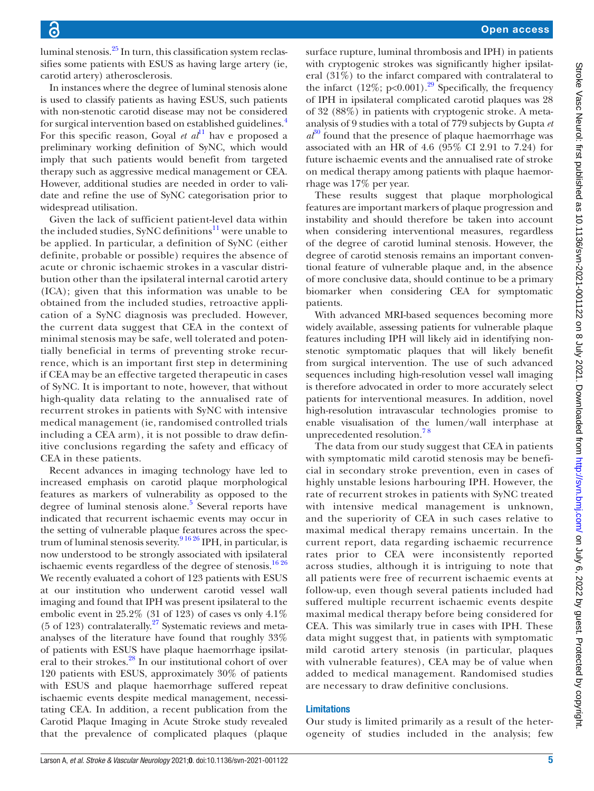luminal stenosis. $25$  In turn, this classification system reclassifies some patients with ESUS as having large artery (ie, carotid artery) atherosclerosis.

In instances where the degree of luminal stenosis alone is used to classify patients as having ESUS, such patients with non-stenotic carotid disease may not be considered for surgical intervention based on established guidelines.[4](#page-5-18) For this specific reason, Goyal *et al*<sup>11</sup> hav e proposed a preliminary working definition of SyNC, which would imply that such patients would benefit from targeted therapy such as aggressive medical management or CEA. However, additional studies are needed in order to validate and refine the use of SyNC categorisation prior to widespread utilisation.

Given the lack of sufficient patient-level data within the included studies, SyNC definitions<sup>[11](#page-5-5)</sup> were unable to be applied. In particular, a definition of SyNC (either definite, probable or possible) requires the absence of acute or chronic ischaemic strokes in a vascular distribution other than the ipsilateral internal carotid artery (ICA); given that this information was unable to be obtained from the included studies, retroactive application of a SyNC diagnosis was precluded. However, the current data suggest that CEA in the context of minimal stenosis may be safe, well tolerated and potentially beneficial in terms of preventing stroke recurrence, which is an important first step in determining if CEA may be an effective targeted therapeutic in cases of SyNC. It is important to note, however, that without high-quality data relating to the annualised rate of recurrent strokes in patients with SyNC with intensive medical management (ie, randomised controlled trials including a CEA arm), it is not possible to draw definitive conclusions regarding the safety and efficacy of CEA in these patients.

Recent advances in imaging technology have led to increased emphasis on carotid plaque morphological features as markers of vulnerability as opposed to the degree of luminal stenosis alone.<sup>[5](#page-5-3)</sup> Several reports have indicated that recurrent ischaemic events may occur in the setting of vulnerable plaque features across the spectrum of luminal stenosis severity.<sup>916 26</sup> IPH, in particular, is now understood to be strongly associated with ipsilateral ischaemic events regardless of the degree of stenosis.<sup>[16 26](#page-5-20)</sup> We recently evaluated a cohort of 123 patients with ESUS at our institution who underwent carotid vessel wall imaging and found that IPH was present ipsilateral to the embolic event in  $25.2\%$  (31 of 123) of cases vs only  $4.1\%$ (5 of 123) contralaterally. $27$  Systematic reviews and metaanalyses of the literature have found that roughly 33% of patients with ESUS have plaque haemorrhage ipsilateral to their strokes.<sup>28</sup> In our institutional cohort of over 120 patients with ESUS, approximately 30% of patients with ESUS and plaque haemorrhage suffered repeat ischaemic events despite medical management, necessitating CEA. In addition, a recent publication from the Carotid Plaque Imaging in Acute Stroke study revealed that the prevalence of complicated plaques (plaque

surface rupture, luminal thrombosis and IPH) in patients with cryptogenic strokes was significantly higher ipsilateral (31%) to the infarct compared with contralateral to the infarct  $(12\%, p<0.001)$ .<sup>29</sup> Specifically, the frequency of IPH in ipsilateral complicated carotid plaques was 28 of 32 (88%) in patients with cryptogenic stroke. A metaanalysis of 9 studies with a total of 779 subjects by Gupta *et*   $a^{30}$  $a^{30}$  $a^{30}$  found that the presence of plaque haemorrhage was associated with an HR of 4.6 (95% CI 2.91 to 7.24) for future ischaemic events and the annualised rate of stroke on medical therapy among patients with plaque haemorrhage was 17% per year.

These results suggest that plaque morphological features are important markers of plaque progression and instability and should therefore be taken into account when considering interventional measures, regardless of the degree of carotid luminal stenosis. However, the degree of carotid stenosis remains an important conventional feature of vulnerable plaque and, in the absence of more conclusive data, should continue to be a primary biomarker when considering CEA for symptomatic patients.

With advanced MRI-based sequences becoming more widely available, assessing patients for vulnerable plaque features including IPH will likely aid in identifying nonstenotic symptomatic plaques that will likely benefit from surgical intervention. The use of such advanced sequences including high-resolution vessel wall imaging is therefore advocated in order to more accurately select patients for interventional measures. In addition, novel high-resolution intravascular technologies promise to enable visualisation of the lumen/wall interphase at unprecedented resolution.<sup>78</sup>

The data from our study suggest that CEA in patients with symptomatic mild carotid stenosis may be beneficial in secondary stroke prevention, even in cases of highly unstable lesions harbouring IPH. However, the rate of recurrent strokes in patients with SyNC treated with intensive medical management is unknown, and the superiority of CEA in such cases relative to maximal medical therapy remains uncertain. In the current report, data regarding ischaemic recurrence rates prior to CEA were inconsistently reported across studies, although it is intriguing to note that all patients were free of recurrent ischaemic events at follow-up, even though several patients included had suffered multiple recurrent ischaemic events despite maximal medical therapy before being considered for CEA. This was similarly true in cases with IPH. These data might suggest that, in patients with symptomatic mild carotid artery stenosis (in particular, plaques with vulnerable features), CEA may be of value when added to medical management. Randomised studies are necessary to draw definitive conclusions.

# Limitations

Our study is limited primarily as a result of the heterogeneity of studies included in the analysis; few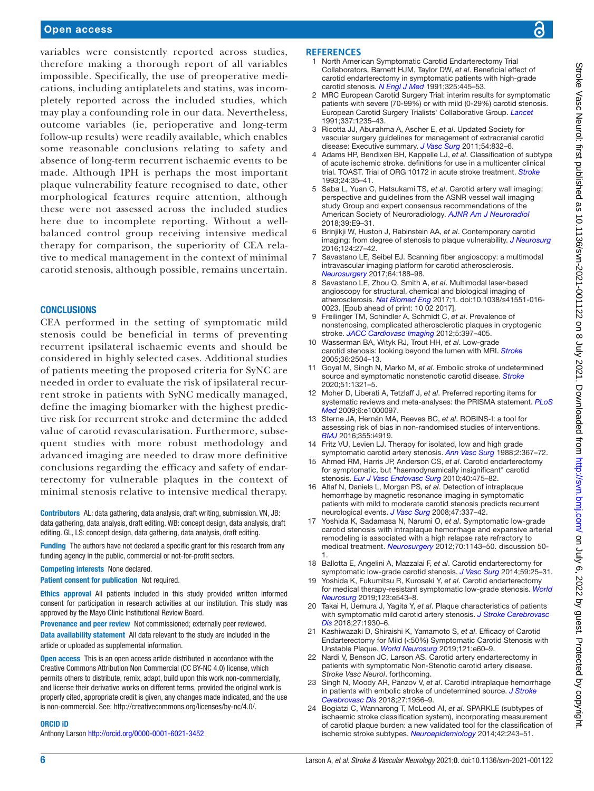## Open access

variables were consistently reported across studies, therefore making a thorough report of all variables impossible. Specifically, the use of preoperative medications, including antiplatelets and statins, was incompletely reported across the included studies, which may play a confounding role in our data. Nevertheless, outcome variables (ie, perioperative and long-term follow-up results) were readily available, which enables some reasonable conclusions relating to safety and absence of long-term recurrent ischaemic events to be made. Although IPH is perhaps the most important plaque vulnerability feature recognised to date, other morphological features require attention, although these were not assessed across the included studies here due to incomplete reporting. Without a wellbalanced control group receiving intensive medical therapy for comparison, the superiority of CEA relative to medical management in the context of minimal carotid stenosis, although possible, remains uncertain.

#### **CONCLUSIONS**

CEA performed in the setting of symptomatic mild stenosis could be beneficial in terms of preventing recurrent ipsilateral ischaemic events and should be considered in highly selected cases. Additional studies of patients meeting the proposed criteria for SyNC are needed in order to evaluate the risk of ipsilateral recurrent stroke in patients with SyNC medically managed, define the imaging biomarker with the highest predictive risk for recurrent stroke and determine the added value of carotid revascularisation. Furthermore, subsequent studies with more robust methodology and advanced imaging are needed to draw more definitive conclusions regarding the efficacy and safety of endarterectomy for vulnerable plaques in the context of minimal stenosis relative to intensive medical therapy.

Contributors AL: data gathering, data analysis, draft writing, submission. VN, JB: data gathering, data analysis, draft editing. WB: concept design, data analysis, draft editing. GL, LS: concept design, data gathering, data analysis, draft editing.

Funding The authors have not declared a specific grant for this research from any funding agency in the public, commercial or not-for-profit sectors.

#### Competing interests None declared.

Patient consent for publication Not required.

Ethics approval All patients included in this study provided written informed consent for participation in research activities at our institution. This study was approved by the Mayo Clinic Institutional Review Board.

Provenance and peer review Not commissioned; externally peer reviewed. Data availability statement All data relevant to the study are included in the article or uploaded as supplemental information.

Open access This is an open access article distributed in accordance with the Creative Commons Attribution Non Commercial (CC BY-NC 4.0) license, which permits others to distribute, remix, adapt, build upon this work non-commercially, and license their derivative works on different terms, provided the original work is properly cited, appropriate credit is given, any changes made indicated, and the use is non-commercial. See: [http://creativecommons.org/licenses/by-nc/4.0/.](http://creativecommons.org/licenses/by-nc/4.0/)

#### ORCID iD

Anthony Larson<http://orcid.org/0000-0001-6021-3452>

#### <span id="page-5-0"></span>**REFERENCES**

- 1 North American Symptomatic Carotid Endarterectomy Trial Collaborators, Barnett HJM, Taylor DW, *et al*. Beneficial effect of carotid endarterectomy in symptomatic patients with high-grade carotid stenosis. *[N Engl J Med](http://dx.doi.org/10.1056/NEJM199108153250701)* 1991;325:445–53.
- <span id="page-5-1"></span>2 MRC European Carotid Surgery Trial: interim results for symptomatic patients with severe (70-99%) or with mild (0-29%) carotid stenosis. European Carotid Surgery Trialists' Collaborative Group. *[Lancet](http://www.ncbi.nlm.nih.gov/pubmed/1674060)* 1991;337:1235–43.
- <span id="page-5-2"></span>3 Ricotta JJ, Aburahma A, Ascher E, *et al*. Updated Society for vascular surgery guidelines for management of extracranial carotid disease: Executive summary. *[J Vasc Surg](http://dx.doi.org/10.1016/j.jvs.2011.07.004)* 2011;54:832–6.
- <span id="page-5-18"></span>4 Adams HP, Bendixen BH, Kappelle LJ, *et al*. Classification of subtype of acute ischemic stroke. definitions for use in a multicenter clinical trial. TOAST. Trial of ORG 10172 in acute stroke treatment. *[Stroke](http://dx.doi.org/10.1161/01.STR.24.1.35)* 1993;24:35–41.
- <span id="page-5-3"></span>5 Saba L, Yuan C, Hatsukami TS, *et al*. Carotid artery wall imaging: perspective and guidelines from the ASNR vessel wall imaging study Group and expert consensus recommendations of the American Society of Neuroradiology. *[AJNR Am J Neuroradiol](http://dx.doi.org/10.3174/ajnr.A5488)* 2018;39:E9–31.
- <span id="page-5-4"></span>6 Brinjikji W, Huston J, Rabinstein AA, *et al*. Contemporary carotid imaging: from degree of stenosis to plaque vulnerability. *[J Neurosurg](http://dx.doi.org/10.3171/2015.1.JNS142452)* 2016;124:27–42.
- <span id="page-5-21"></span>Savastano LE, Seibel EJ. Scanning fiber angioscopy: a multimodal intravascular imaging platform for carotid atherosclerosis. *[Neurosurgery](http://dx.doi.org/10.1093/neuros/nyx322)* 2017;64:188–98.
- 8 Savastano LE, Zhou Q, Smith A, *et al*. Multimodal laser-based angioscopy for structural, chemical and biological imaging of atherosclerosis. *[Nat Biomed Eng](http://dx.doi.org/10.1038/s41551-016-0023)* 2017;1. doi:10.1038/s41551-016- 0023. [Epub ahead of print: 10 02 2017].
- <span id="page-5-19"></span>9 Freilinger TM, Schindler A, Schmidt C, *et al*. Prevalence of nonstenosing, complicated atherosclerotic plaques in cryptogenic stroke. *[JACC Cardiovasc Imaging](http://dx.doi.org/10.1016/j.jcmg.2012.01.012)* 2012;5:397–405.
- 10 Wasserman BA, Wityk RJ, Trout HH, *et al*. Low-grade carotid stenosis: looking beyond the lumen with MRI. *[Stroke](http://dx.doi.org/10.1161/01.STR.0000185726.83152.00)* 2005;36:2504–13.
- <span id="page-5-5"></span>11 Goyal M, Singh N, Marko M, *et al*. Embolic stroke of undetermined source and symptomatic nonstenotic carotid disease. *[Stroke](http://dx.doi.org/10.1161/STROKEAHA.119.028853)* 2020;51:1321–5.
- <span id="page-5-6"></span>12 Moher D, Liberati A, Tetzlaff J, *et al*. Preferred reporting items for systematic reviews and meta-analyses: the PRISMA statement. *[PLoS](http://dx.doi.org/10.1371/journal.pmed.1000097)  [Med](http://dx.doi.org/10.1371/journal.pmed.1000097)* 2009;6:e1000097.
- <span id="page-5-7"></span>13 Sterne JA, Hernán MA, Reeves BC, *et al*. ROBINS-I: a tool for assessing risk of bias in non-randomised studies of interventions. *[BMJ](http://dx.doi.org/10.1136/bmj.i4919)* 2016;355:i4919.
- <span id="page-5-8"></span>14 Fritz VU, Levien LJ. Therapy for isolated, low and high grade symptomatic carotid artery stenosis. *[Ann Vasc Surg](http://dx.doi.org/10.1016/S0890-5096(06)60818-2)* 1988;2:367–72.
- <span id="page-5-9"></span>15 Ahmed RM, Harris JP, Anderson CS, *et al*. Carotid endarterectomy for symptomatic, but "haemodynamically insignificant" carotid stenosis. *[Eur J Vasc Endovasc Surg](http://dx.doi.org/10.1016/j.ejvs.2010.07.003)* 2010;40:475–82.
- <span id="page-5-20"></span>16 Altaf N, Daniels L, Morgan PS, *et al*. Detection of intraplaque hemorrhage by magnetic resonance imaging in symptomatic patients with mild to moderate carotid stenosis predicts recurrent neurological events. *[J Vasc Surg](http://dx.doi.org/10.1016/j.jvs.2007.09.064)* 2008;47:337–42.
- <span id="page-5-10"></span>17 Yoshida K, Sadamasa N, Narumi O, *et al*. Symptomatic low-grade carotid stenosis with intraplaque hemorrhage and expansive arterial remodeling is associated with a high relapse rate refractory to medical treatment. *[Neurosurgery](http://dx.doi.org/10.1227/NEU.0b013e31823fe50b)* 2012;70:1143–50. discussion 50- 1.
- <span id="page-5-11"></span>18 Ballotta E, Angelini A, Mazzalai F, *et al*. Carotid endarterectomy for symptomatic low-grade carotid stenosis. *[J Vasc Surg](http://dx.doi.org/10.1016/j.jvs.2013.06.079)* 2014;59:25–31.
- <span id="page-5-12"></span>19 Yoshida K, Fukumitsu R, Kurosaki Y, *et al*. Carotid endarterectomy for medical therapy-resistant symptomatic low-grade stenosis. *[World](http://dx.doi.org/10.1016/j.wneu.2018.11.208)  [Neurosurg](http://dx.doi.org/10.1016/j.wneu.2018.11.208)* 2019;123:e543–8.
- <span id="page-5-13"></span>20 Takai H, Uemura J, Yagita Y, *et al*. Plaque characteristics of patients with symptomatic mild carotid artery stenosis. *[J Stroke Cerebrovasc](http://dx.doi.org/10.1016/j.jstrokecerebrovasdis.2018.02.032)  [Dis](http://dx.doi.org/10.1016/j.jstrokecerebrovasdis.2018.02.032)* 2018;27:1930–6.
- <span id="page-5-14"></span>21 Kashiwazaki D, Shiraishi K, Yamamoto S, *et al*. Efficacy of Carotid Endarterectomy for Mild (<50%) Symptomatic Carotid Stenosis with Unstable Plaque. *[World Neurosurg](http://dx.doi.org/10.1016/j.wneu.2018.09.013)* 2019;121:e60–9.
- <span id="page-5-15"></span>22 Nardi V, Benson JC, Larson AS. Carotid artery endarterectomy in patients with symptomatic Non-Stenotic carotid artery disease. *Stroke Vasc Neurol*. forthcoming.
- <span id="page-5-16"></span>23 Singh N, Moody AR, Panzov V, *et al*. Carotid intraplaque hemorrhage in patients with embolic stroke of undetermined source. *[J Stroke](http://dx.doi.org/10.1016/j.jstrokecerebrovasdis.2018.02.042)  [Cerebrovasc Dis](http://dx.doi.org/10.1016/j.jstrokecerebrovasdis.2018.02.042)* 2018;27:1956–9.
- <span id="page-5-17"></span>24 Bogiatzi C, Wannarong T, McLeod AI, *et al*. SPARKLE (subtypes of ischaemic stroke classification system), incorporating measurement of carotid plaque burden: a new validated tool for the classification of ischemic stroke subtypes. *[Neuroepidemiology](http://dx.doi.org/10.1159/000362417)* 2014;42:243–51.